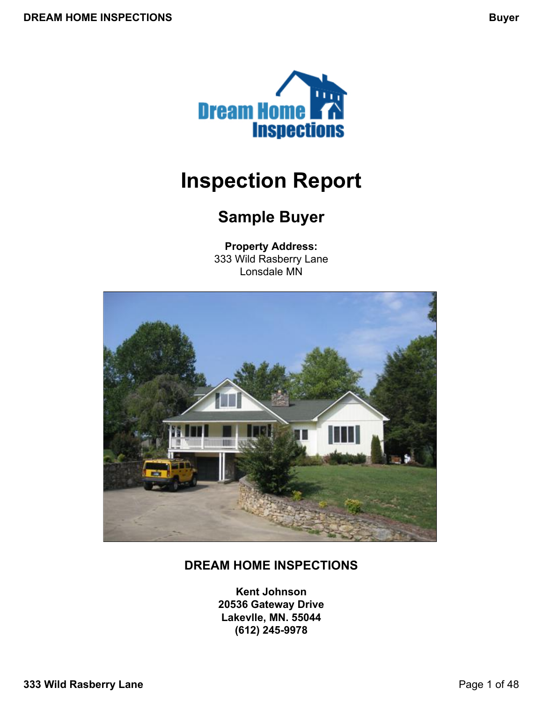<span id="page-0-0"></span>

# **Inspection Report**

# **Sample Buyer**

**Property Address:** 333 Wild Rasberry Lane Lonsdale MN



## **DREAM HOME INSPECTIONS**

**Kent Johnson 20536 Gateway Drive Lakevlle, MN. 55044 (612) 245-9978**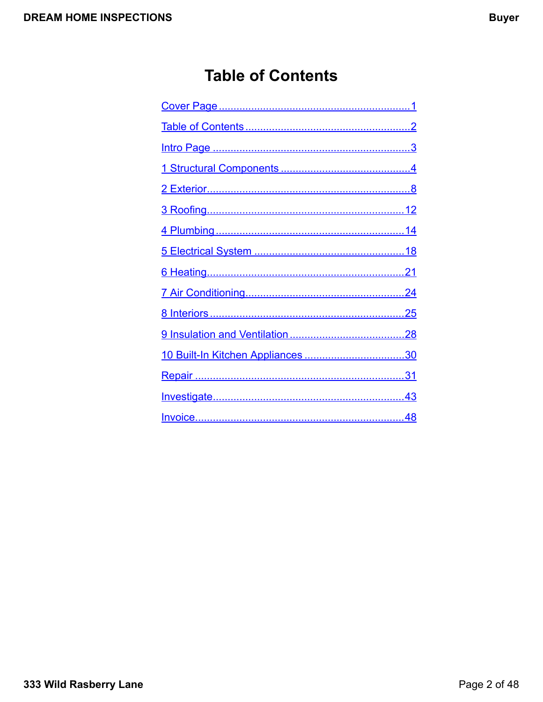# **Table of Contents**

<span id="page-1-0"></span>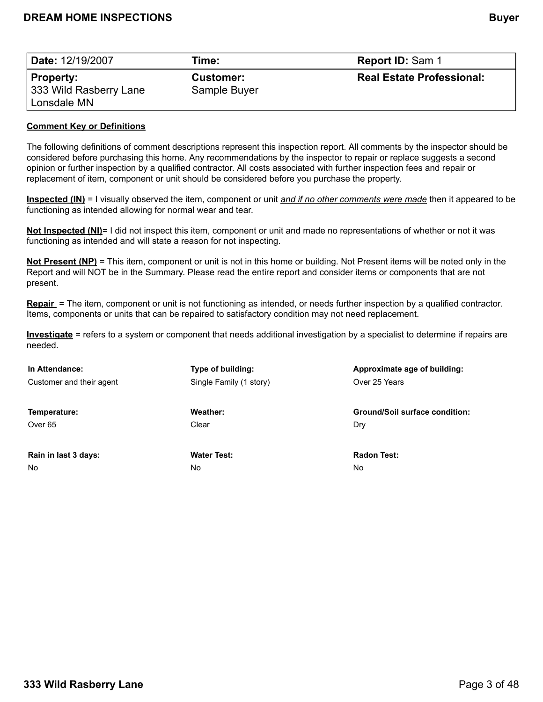<span id="page-2-0"></span>

| <b>Date: 12/19/2007</b>                    | Time:                            | <b>Report ID: Sam 1</b>          |
|--------------------------------------------|----------------------------------|----------------------------------|
| <b>Property:</b><br>333 Wild Rasberry Lane | <b>Customer:</b><br>Sample Buyer | <b>Real Estate Professional:</b> |
| Lonsdale MN                                |                                  |                                  |

#### **Comment Key or Definitions**

The following definitions of comment descriptions represent this inspection report. All comments by the inspector should be considered before purchasing this home. Any recommendations by the inspector to repair or replace suggests a second opinion or further inspection by a qualified contractor. All costs associated with further inspection fees and repair or replacement of item, component or unit should be considered before you purchase the property.

**Inspected (IN)** = I visually observed the item, component or unit *and if no other comments were made* then it appeared to be functioning as intended allowing for normal wear and tear.

**Not Inspected (NI)**= I did not inspect this item, component or unit and made no representations of whether or not it was functioning as intended and will state a reason for not inspecting.

**Not Present (NP)** = This item, component or unit is not in this home or building. Not Present items will be noted only in the Report and will NOT be in the Summary. Please read the entire report and consider items or components that are not present.

**Repair** = The item, component or unit is not functioning as intended, or needs further inspection by a qualified contractor. Items, components or units that can be repaired to satisfactory condition may not need replacement.

**Investigate** = refers to a system or component that needs additional investigation by a specialist to determine if repairs are needed.

| In Attendance:           | Type of building:       | Approximate age of building:          |
|--------------------------|-------------------------|---------------------------------------|
| Customer and their agent | Single Family (1 story) | Over 25 Years                         |
|                          |                         |                                       |
| Temperature:             | Weather:                | <b>Ground/Soil surface condition:</b> |
| Over 65                  | Clear                   | Dry                                   |
|                          |                         |                                       |
| Rain in last 3 days:     | <b>Water Test:</b>      | <b>Radon Test:</b>                    |
| <b>No</b>                | No                      | No                                    |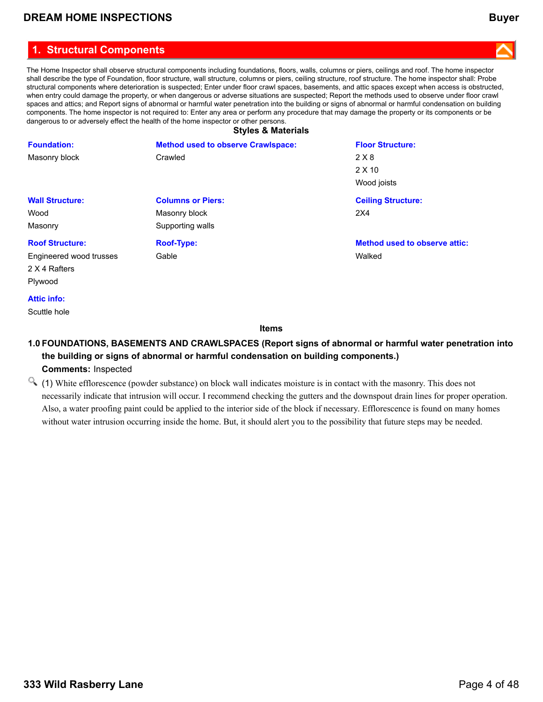### <span id="page-3-0"></span>**1. Structural Components**

The Home Inspector shall observe structural components including foundations, floors, walls, columns or piers, ceilings and roof. The home inspector shall describe the type of Foundation, floor structure, wall structure, columns or piers, ceiling structure, roof structure. The home inspector shall: Probe structural components where deterioration is suspected; Enter under floor crawl spaces, basements, and attic spaces except when access is obstructed, when entry could damage the property, or when dangerous or adverse situations are suspected; Report the methods used to observe under floor crawl spaces and attics; and Report signs of abnormal or harmful water penetration into the building or signs of abnormal or harmful condensation on building components. The home inspector is not required to: Enter any area or perform any procedure that may damage the property or its components or be dangerous to or adversely effect the health of the home inspector or other persons. **Styles & Materials**

|                         | <b>Styles &amp; Materials</b>             |                                      |  |  |
|-------------------------|-------------------------------------------|--------------------------------------|--|--|
| <b>Foundation:</b>      | <b>Method used to observe Crawlspace:</b> | <b>Floor Structure:</b>              |  |  |
| Masonry block           | Crawled                                   | 2 X 8                                |  |  |
|                         |                                           | $2 \times 10$                        |  |  |
|                         |                                           | Wood joists                          |  |  |
| <b>Wall Structure:</b>  | <b>Columns or Piers:</b>                  | <b>Ceiling Structure:</b>            |  |  |
| Wood                    | Masonry block                             | 2X4                                  |  |  |
| Masonry                 | Supporting walls                          |                                      |  |  |
| <b>Roof Structure:</b>  | <b>Roof-Type:</b>                         | <b>Method used to observe attic:</b> |  |  |
| Engineered wood trusses | Gable                                     | Walked                               |  |  |
| 2 X 4 Rafters           |                                           |                                      |  |  |
| Plywood                 |                                           |                                      |  |  |
|                         |                                           |                                      |  |  |

#### **Attic info:**

Scuttle hole

#### **Items**

### **1.0 FOUNDATIONS, BASEMENTS AND CRAWLSPACES (Report signs of abnormal or harmful water penetration into the building or signs of abnormal or harmful condensation on building components.) Comments:** Inspected

(1) White efflorescence (powder substance) on block wall indicates moisture is in contact with the masonry. This does not necessarily indicate that intrusion will occur. I recommend checking the gutters and the downspout drain lines for proper operation. Also, a water proofing paint could be applied to the interior side of the block if necessary. Efflorescence is found on many homes without water intrusion occurring inside the home. But, it should alert you to the possibility that future steps may be needed.

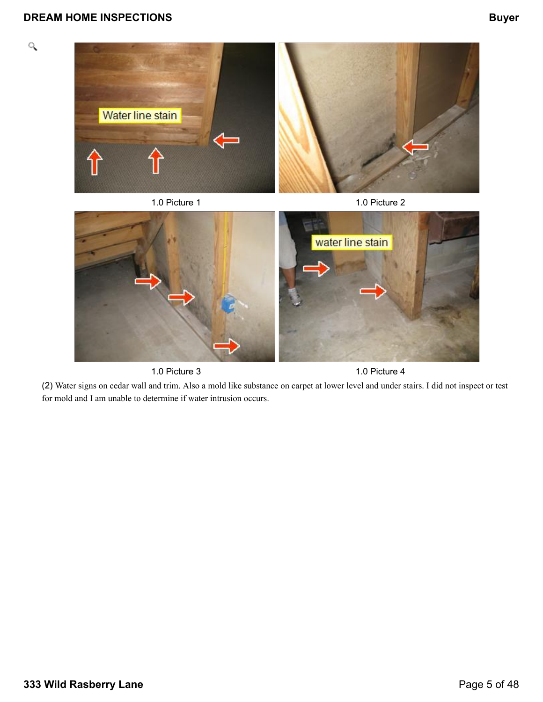$\mathcal{Q}$ 



1.0 Picture 3 1.0 Picture 4

(2) Water signs on cedar wall and trim. Also a mold like substance on carpet at lower level and under stairs. I did not inspect or test for mold and I am unable to determine if water intrusion occurs.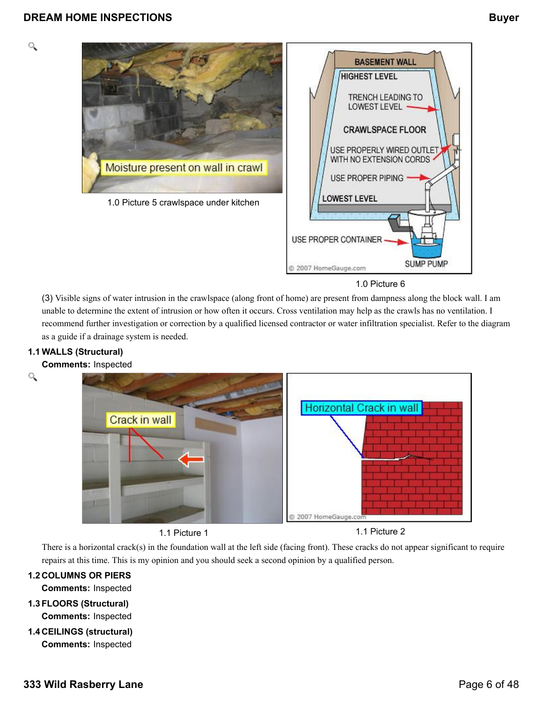

1.0 Picture 6

(3) Visible signs of water intrusion in the crawlspace (along front of home) are present from dampness along the block wall. I am unable to determine the extent of intrusion or how often it occurs. Cross ventilation may help as the crawls has no ventilation. I recommend further investigation or correction by a qualified licensed contractor or water infiltration specialist. Refer to the diagram as a guide if a drainage system is needed.

### **1.1 WALLS (Structural)**

#### **Comments:** Inspected

Q

Q





1.1 Picture 1 1.1 Picture 2

There is a horizontal crack(s) in the foundation wall at the left side (facing front). These cracks do not appear significant to require repairs at this time. This is my opinion and you should seek a second opinion by a qualified person.

#### **1.2 COLUMNS OR PIERS**

**Comments:** Inspected

- **1.3FLOORS (Structural) Comments:** Inspected
- **1.4 CEILINGS (structural) Comments:** Inspected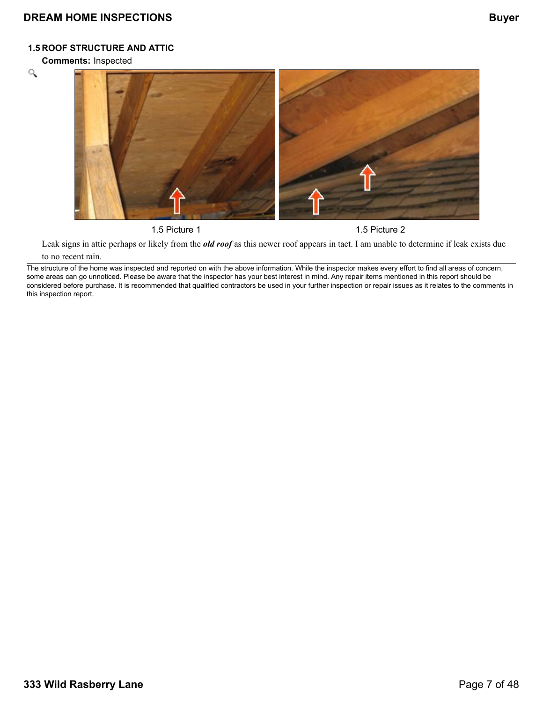#### **1.5 ROOF STRUCTURE AND ATTIC**

**Comments:** Inspected





1.5 Picture 1 2

Leak signs in attic perhaps or likely from the *old roof* as this newer roof appears in tact. I am unable to determine if leak exists due

#### to no recent rain.

The structure of the home was inspected and reported on with the above information. While the inspector makes every effort to find all areas of concern, some areas can go unnoticed. Please be aware that the inspector has your best interest in mind. Any repair items mentioned in this report should be considered before purchase. It is recommended that qualified contractors be used in your further inspection or repair issues as it relates to the comments in this inspection report.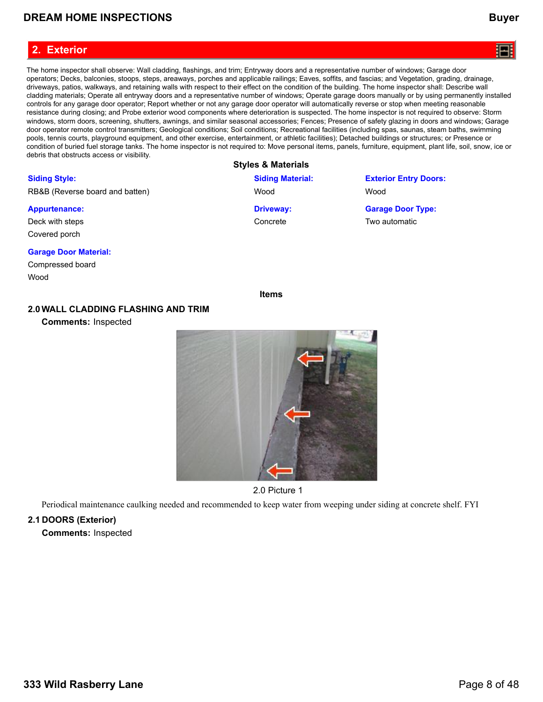#### <span id="page-7-0"></span>**2. Exterior**

The home inspector shall observe: Wall cladding, flashings, and trim; Entryway doors and a representative number of windows; Garage door operators; Decks, balconies, stoops, steps, areaways, porches and applicable railings; Eaves, soffits, and fascias; and Vegetation, grading, drainage, driveways, patios, walkways, and retaining walls with respect to their effect on the condition of the building. The home inspector shall: Describe wall cladding materials; Operate all entryway doors and a representative number of windows; Operate garage doors manually or by using permanently installed controls for any garage door operator; Report whether or not any garage door operator will automatically reverse or stop when meeting reasonable resistance during closing; and Probe exterior wood components where deterioration is suspected. The home inspector is not required to observe: Storm windows, storm doors, screening, shutters, awnings, and similar seasonal accessories; Fences; Presence of safety glazing in doors and windows; Garage door operator remote control transmitters; Geological conditions; Soil conditions; Recreational facilities (including spas, saunas, steam baths, swimming pools, tennis courts, playground equipment, and other exercise, entertainment, or athletic facilities); Detached buildings or structures; or Presence or condition of buried fuel storage tanks. The home inspector is not required to: Move personal items, panels, furniture, equipment, plant life, soil, snow, ice or debris that obstructs access or visibility.

#### **Styles & Materials**

| <b>Siding Style:</b>            | <b>Siding Material:</b> | <b>Exterior Entry Doors:</b> |
|---------------------------------|-------------------------|------------------------------|
| RB&B (Reverse board and batten) | Wood                    | Wood                         |
| <b>Appurtenance:</b>            | <b>Driveway:</b>        | <b>Garage Door Type:</b>     |
| Deck with steps                 | Concrete                | Two automatic                |
| Covered porch                   |                         |                              |

#### **Garage Door Material:**

Compressed board Wood

**Items**

#### **2.0WALL CLADDING FLASHING AND TRIM**

**Comments:** Inspected



2.0 Picture 1

Periodical maintenance caulking needed and recommended to keep water from weeping under siding at concrete shelf. FYI

#### **2.1 DOORS (Exterior)**

**Comments:** Inspected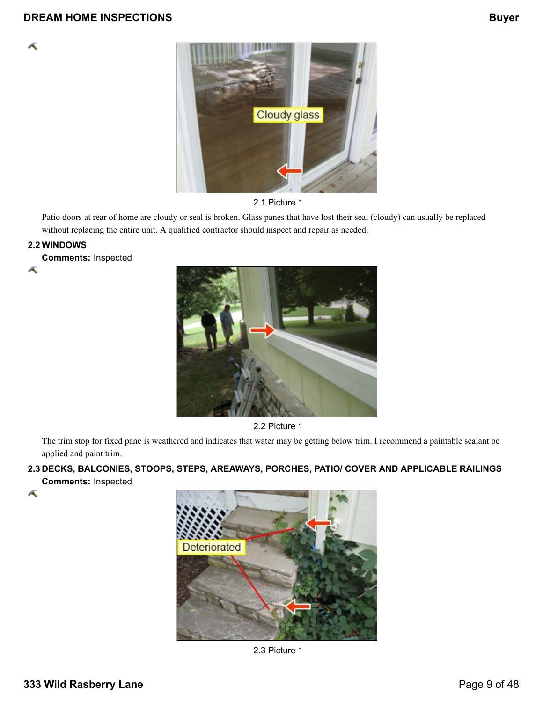



Patio doors at rear of home are cloudy or seal is broken. Glass panes that have lost their seal (cloudy) can usually be replaced without replacing the entire unit. A qualified contractor should inspect and repair as needed.

### **2.2 WINDOWS**

Æ

Æ

**Comments:** Inspected



2.2 Picture 1

The trim stop for fixed pane is weathered and indicates that water may be getting below trim. I recommend a paintable sealant be applied and paint trim.

**2.3 DECKS, BALCONIES, STOOPS, STEPS, AREAWAYS, PORCHES, PATIO/ COVER AND APPLICABLE RAILINGS Comments:** Inspected





2.3 Picture 1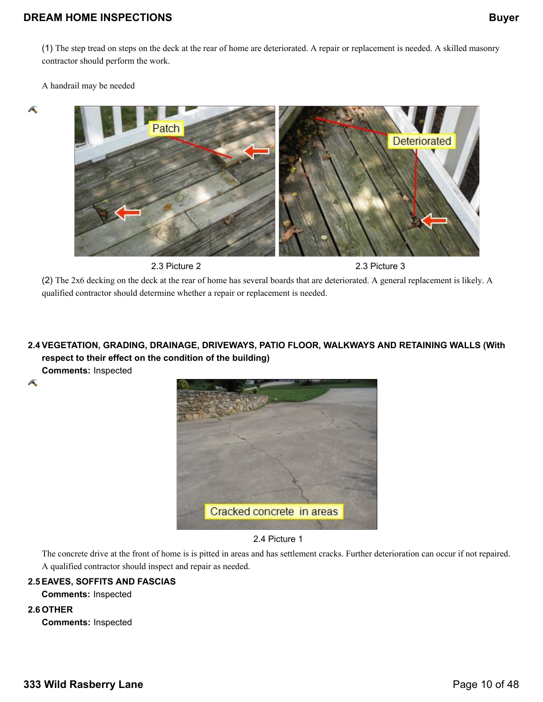(1) The step tread on steps on the deck at the rear of home are deteriorated. A repair or replacement is needed. A skilled masonry contractor should perform the work.

A handrail may be needed

Æ

Æ



2.3 Picture 2 2.3 Picture 3

(2) The 2x6 decking on the deck at the rear of home has several boards that are deteriorated. A general replacement is likely. A qualified contractor should determine whether a repair or replacement is needed.

## **2.4 VEGETATION, GRADING, DRAINAGE, DRIVEWAYS, PATIO FLOOR, WALKWAYS AND RETAINING WALLS (With respect to their effect on the condition of the building)**

**Comments:** Inspected



2.4 Picture 1

The concrete drive at the front of home is is pitted in areas and has settlement cracks. Further deterioration can occur if not repaired. A qualified contractor should inspect and repair as needed.

### **2.5EAVES, SOFFITS AND FASCIAS**

**Comments:** Inspected

#### **2.6 OTHER**

**Comments:** Inspected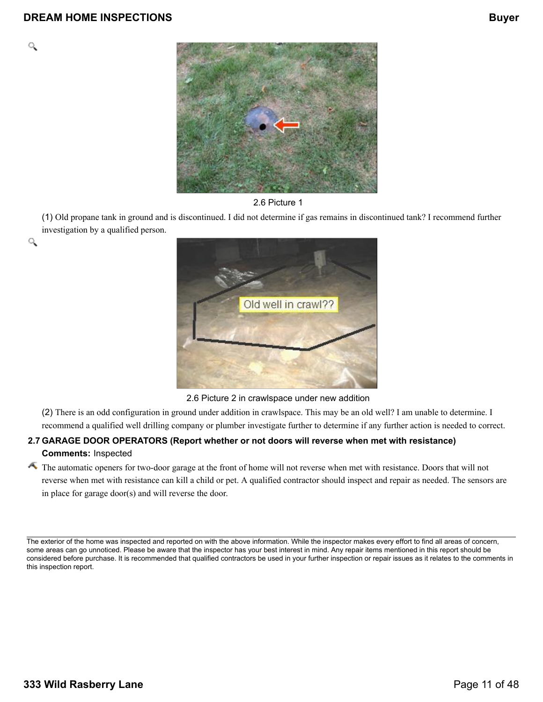Q

۹



#### 2.6 Picture 1

(1) Old propane tank in ground and is discontinued. I did not determine if gas remains in discontinued tank? I recommend further investigation by a qualified person.



2.6 Picture 2 in crawlspace under new addition

(2) There is an odd configuration in ground under addition in crawlspace. This may be an old well? I am unable to determine. I recommend a qualified well drilling company or plumber investigate further to determine if any further action is needed to correct.

### **2.7 GARAGE DOOR OPERATORS (Report whether or not doors will reverse when met with resistance)**

### **Comments:** Inspected

The automatic openers for two-door garage at the front of home will not reverse when met with resistance. Doors that will not reverse when met with resistance can kill a child or pet. A qualified contractor should inspect and repair as needed. The sensors are in place for garage door(s) and will reverse the door.

The exterior of the home was inspected and reported on with the above information. While the inspector makes every effort to find all areas of concern, some areas can go unnoticed. Please be aware that the inspector has your best interest in mind. Any repair items mentioned in this report should be considered before purchase. It is recommended that qualified contractors be used in your further inspection or repair issues as it relates to the comments in this inspection report.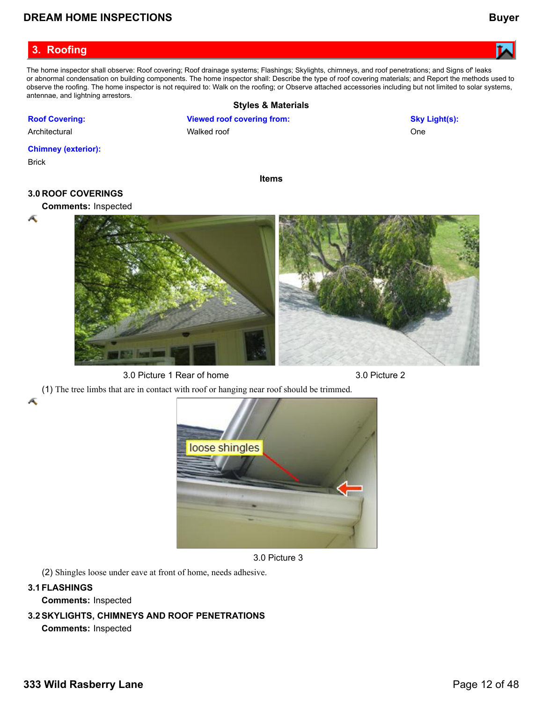### <span id="page-11-0"></span>**3. Roofing**

**Roof Covering:** Architectural

**Chimney (exterior):**

The home inspector shall observe: Roof covering; Roof drainage systems; Flashings; Skylights, chimneys, and roof penetrations; and Signs of' leaks or abnormal condensation on building components. The home inspector shall: Describe the type of roof covering materials; and Report the methods used to observe the roofing. The home inspector is not required to: Walk on the roofing; or Observe attached accessories including but not limited to solar systems, antennae, and lightning arrestors.

#### **Styles & Materials Viewed roof covering from:** Walked roof **Sky Light(s):** One

#### Brick

**Items**

#### **3.0 ROOF COVERINGS**

Æ

Æ



3.0 Picture 1 Rear of home 3.0 Picture 2



(1) The tree limbs that are in contact with roof or hanging near roof should be trimmed.



3.0 Picture 3

(2) Shingles loose under eave at front of home, needs adhesive.

#### **3.1FLASHINGS**

**Comments:** Inspected

### **3.2SKYLIGHTS, CHIMNEYS AND ROOF PENETRATIONS**

**Comments:** Inspected

# **Comments:** Inspected

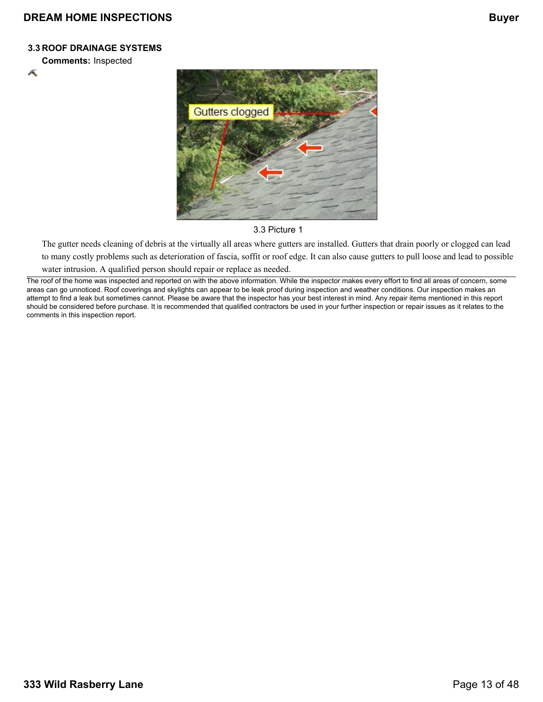#### **3.3 ROOF DRAINAGE SYSTEMS**

**Comments:** Inspected

Æ



#### 3.3 Picture 1

The gutter needs cleaning of debris at the virtually all areas where gutters are installed. Gutters that drain poorly or clogged can lead to many costly problems such as deterioration of fascia, soffit or roof edge. It can also cause gutters to pull loose and lead to possible water intrusion. A qualified person should repair or replace as needed.

The roof of the home was inspected and reported on with the above information. While the inspector makes every effort to find all areas of concern, some areas can go unnoticed. Roof coverings and skylights can appear to be leak proof during inspection and weather conditions. Our inspection makes an attempt to find a leak but sometimes cannot. Please be aware that the inspector has your best interest in mind. Any repair items mentioned in this report should be considered before purchase. It is recommended that qualified contractors be used in your further inspection or repair issues as it relates to the comments in this inspection report.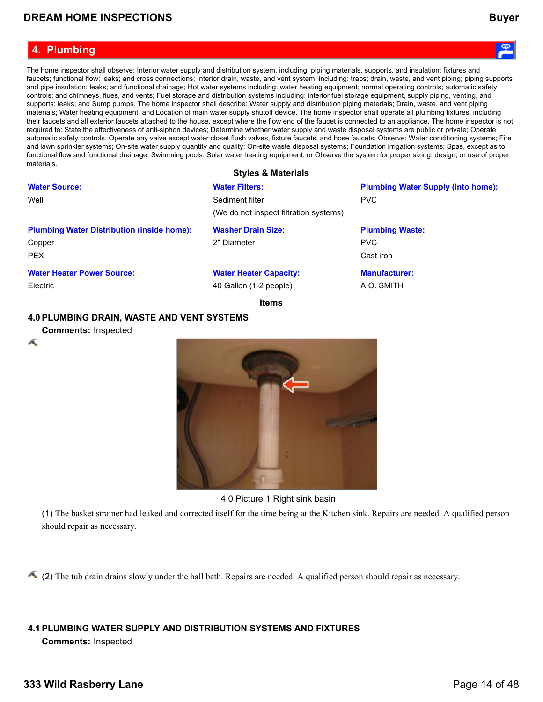#### <span id="page-13-0"></span>**4. Plumbing**

The home inspector shall observe: Interior water supply and distribution system, including: piping materials, supports, and insulation; fixtures and faucets; functional flow; leaks; and cross connections; Interior drain, waste, and vent system, including: traps; drain, waste, and vent piping; piping supports and pipe insulation; leaks; and functional drainage; Hot water systems including: water heating equipment; normal operating controls; automatic safety controls; and chimneys, flues, and vents; Fuel storage and distribution systems including: interior fuel storage equipment, supply piping, venting, and supports; leaks; and Sump pumps. The home inspector shall describe: Water supply and distribution piping materials; Drain, waste, and vent piping materials; Water heating equipment; and Location of main water supply shutoff device. The home inspector shall operate all plumbing fixtures, including their faucets and all exterior faucets attached to the house, except where the flow end of the faucet is connected to an appliance. The home inspector is not required to: State the effectiveness of anti-siphon devices; Determine whether water supply and waste disposal systems are public or private; Operate automatic safety controls; Operate any valve except water closet flush valves, fixture faucets, and hose faucets; Observe: Water conditioning systems; Fire and lawn sprinkler systems; On-site water supply quantity and quality; On-site waste disposal systems; Foundation irrigation systems; Spas, except as to functional flow and functional drainage; Swimming pools; Solar water heating equipment; or Observe the system for proper sizing, design, or use of proper materials.

#### **Styles & Materials**

Sediment filter (We do not inspect filtration systems)

#### **Plumbing Water Distribution (inside home):**

Copper PEX

Well

**Water Source:**

#### **Water Heater Power Source:** Electric

**Water Heater Capacity:**

**Washer Drain Size:**

**Water Filters:**

2" Diameter

40 Gallon (1-2 people)

**Items**

#### **4.0 PLUMBING DRAIN, WASTE AND VENT SYSTEMS**

**Comments:** Inspected

Æ



#### 4.0 Picture 1 Right sink basin

(1) The basket strainer had leaked and corrected itself for the time being at the Kitchen sink. Repairs are needed. A qualified person should repair as necessary.

(2) The tub drain drains slowly under the hall bath. Repairs are needed. A qualified person should repair as necessary.

### **4.1 PLUMBING WATER SUPPLY AND DISTRIBUTION SYSTEMS AND FIXTURES**

**Comments:** Inspected



**Plumbing Water Supply (into home):**

PVC

PVC Cast iron

**Plumbing Waste:**

**Manufacturer:** A.O. SMITH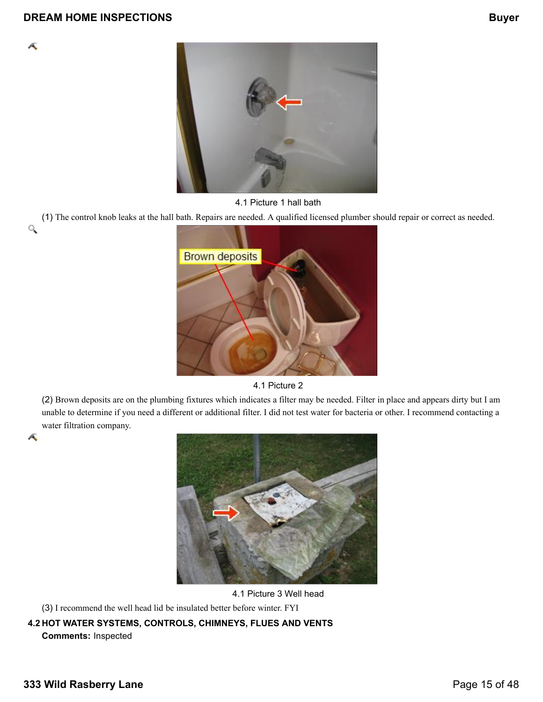

Æ



#### 4.1 Picture 1 hall bath

(1) The control knob leaks at the hall bath. Repairs are needed. A qualified licensed plumber should repair or correct as needed. Q



4.1 Picture 2

(2) Brown deposits are on the plumbing fixtures which indicates a filter may be needed. Filter in place and appears dirty but I am unable to determine if you need a different or additional filter. I did not test water for bacteria or other. I recommend contacting a water filtration company.



4.1 Picture 3 Well head

(3) I recommend the well head lid be insulated better before winter. FYI

**4.2 HOT WATER SYSTEMS, CONTROLS, CHIMNEYS, FLUES AND VENTS**

**Comments:** Inspected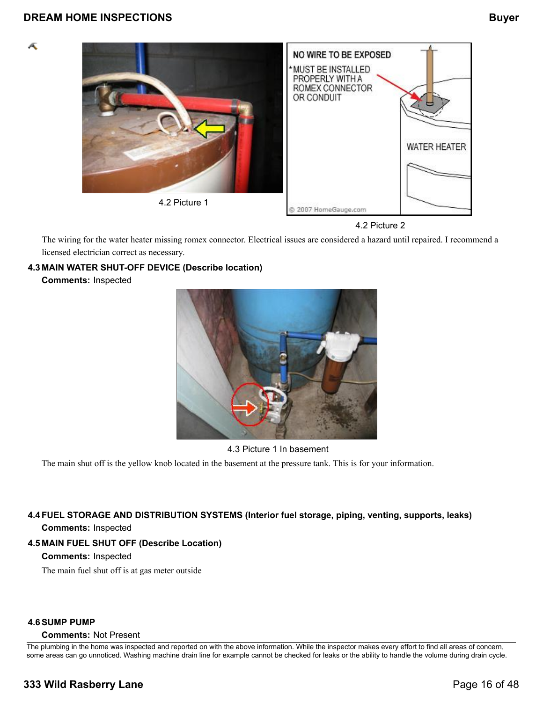Æ



4.2 Picture 2

The wiring for the water heater missing romex connector. Electrical issues are considered a hazard until repaired. I recommend a licensed electrician correct as necessary.

### **4.3 MAIN WATER SHUT-OFF DEVICE (Describe location)**

**Comments:** Inspected



4.3 Picture 1 In basement

The main shut off is the yellow knob located in the basement at the pressure tank. This is for your information.

### **4.4FUEL STORAGE AND DISTRIBUTION SYSTEMS (Interior fuel storage, piping, venting, supports, leaks) Comments:** Inspected

### **4.5 MAIN FUEL SHUT OFF (Describe Location)**

#### **Comments:** Inspected

The main fuel shut off is at gas meter outside

#### **4.6SUMP PUMP**

### **Comments:** Not Present

The plumbing in the home was inspected and reported on with the above information. While the inspector makes every effort to find all areas of concern, some areas can go unnoticed. Washing machine drain line for example cannot be checked for leaks or the ability to handle the volume during drain cycle.

## **333 Wild Rasberry Lane Page 16 of 48**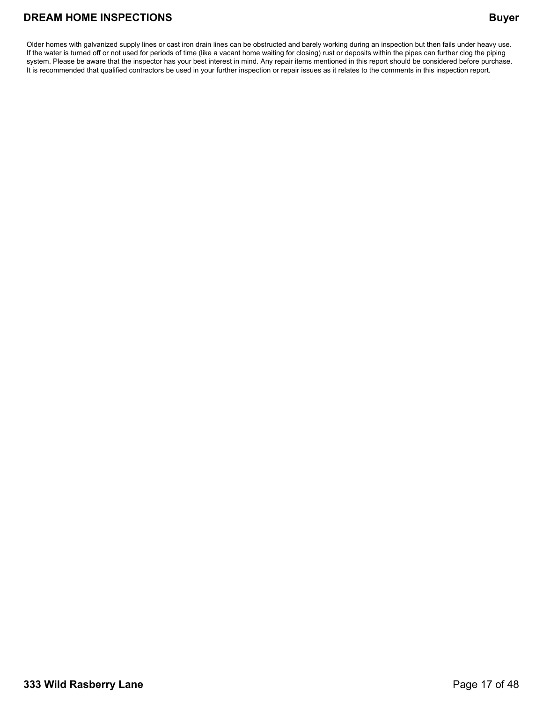Older homes with galvanized supply lines or cast iron drain lines can be obstructed and barely working during an inspection but then fails under heavy use. If the water is turned off or not used for periods of time (like a vacant home waiting for closing) rust or deposits within the pipes can further clog the piping system. Please be aware that the inspector has your best interest in mind. Any repair items mentioned in this report should be considered before purchase. It is recommended that qualified contractors be used in your further inspection or repair issues as it relates to the comments in this inspection report.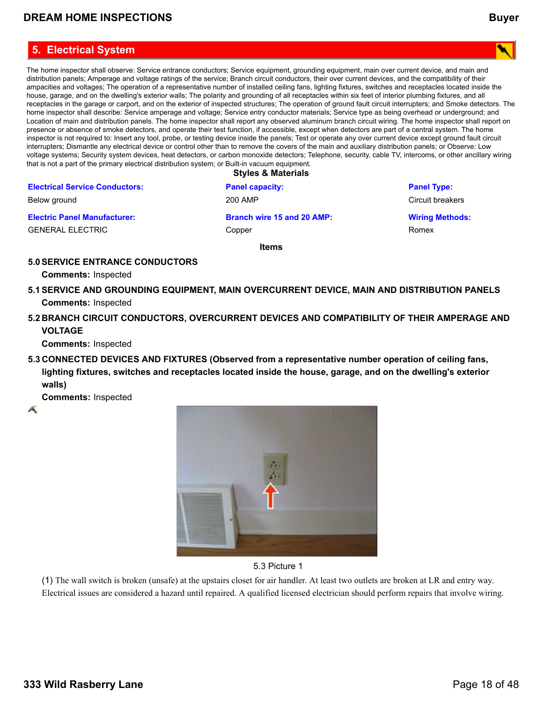### <span id="page-17-0"></span>**5. Electrical System**

The home inspector shall observe: Service entrance conductors; Service equipment, grounding equipment, main over current device, and main and distribution panels; Amperage and voltage ratings of the service; Branch circuit conductors, their over current devices, and the compatibility of their ampacities and voltages; The operation of a representative number of installed ceiling fans, lighting fixtures, switches and receptacles located inside the house, garage, and on the dwelling's exterior walls; The polarity and grounding of all receptacles within six feet of interior plumbing fixtures, and all receptacles in the garage or carport, and on the exterior of inspected structures; The operation of ground fault circuit interrupters; and Smoke detectors. The home inspector shall describe: Service amperage and voltage; Service entry conductor materials; Service type as being overhead or underground; and Location of main and distribution panels. The home inspector shall report any observed aluminum branch circuit wiring. The home inspector shall report on presence or absence of smoke detectors, and operate their test function, if accessible, except when detectors are part of a central system. The home inspector is not required to: Insert any tool, probe, or testing device inside the panels; Test or operate any over current device except ground fault circuit interrupters; Dismantle any electrical device or control other than to remove the covers of the main and auxiliary distribution panels; or Observe: Low voltage systems; Security system devices, heat detectors, or carbon monoxide detectors; Telephone, security, cable TV, intercoms, or other ancillary wiring that is not a part of the primary electrical distribution system; or Built-in vacuum equipment.

**Styles & Materials**

|                                       | <b>Styles &amp; Materials</b> |                        |
|---------------------------------------|-------------------------------|------------------------|
| <b>Electrical Service Conductors:</b> | <b>Panel capacity:</b>        | <b>Panel Type:</b>     |
| Below ground                          | 200 AMP                       | Circuit breakers       |
| <b>Electric Panel Manufacturer:</b>   | Branch wire 15 and 20 AMP:    | <b>Wiring Methods:</b> |
| GENERAL ELECTRIC                      | Copper                        | Romex                  |
|                                       |                               |                        |

**Items**

#### **5.0SERVICE ENTRANCE CONDUCTORS**

**Comments:** Inspected

- **5.1SERVICE AND GROUNDING EQUIPMENT, MAIN OVERCURRENT DEVICE, MAIN AND DISTRIBUTION PANELS Comments:** Inspected
- **5.2 BRANCH CIRCUIT CONDUCTORS, OVERCURRENT DEVICES AND COMPATIBILITY OF THEIR AMPERAGE AND VOLTAGE**

**Comments:** Inspected

**5.3 CONNECTED DEVICES AND FIXTURES (Observed from a representative number operation of ceiling fans, lighting fixtures, switches and receptacles located inside the house, garage, and on the dwelling's exterior walls)**

**Comments:** Inspected

Æ





(1) The wall switch is broken (unsafe) at the upstairs closet for air handler. At least two outlets are broken at LR and entry way. Electrical issues are considered a hazard until repaired. A qualified licensed electrician should perform repairs that involve wiring.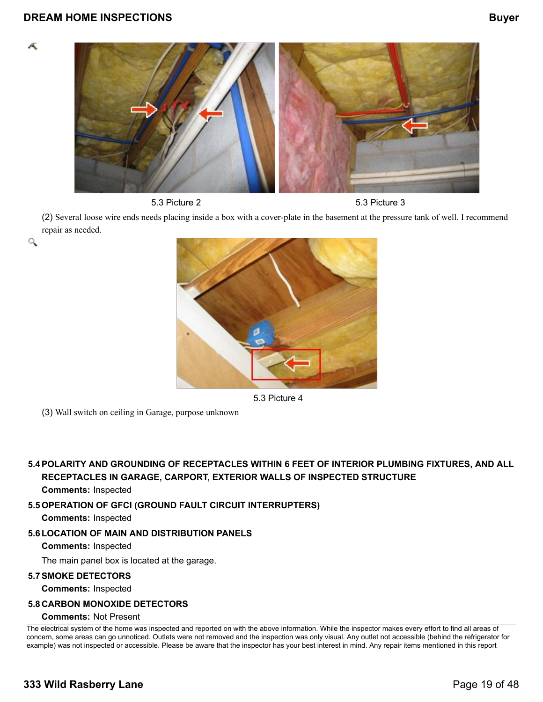Æ

۹





(2) Several loose wire ends needs placing inside a box with a cover-plate in the basement at the pressure tank of well. I recommend repair as needed.



5.3 Picture 4

(3) Wall switch on ceiling in Garage, purpose unknown

**5.4POLARITY AND GROUNDING OF RECEPTACLES WITHIN 6 FEET OF INTERIOR PLUMBING FIXTURES, AND ALL RECEPTACLES IN GARAGE, CARPORT, EXTERIOR WALLS OF INSPECTED STRUCTURE**

#### **Comments:** Inspected

**5.5OPERATION OF GFCI (GROUND FAULT CIRCUIT INTERRUPTERS)**

**Comments:** Inspected

#### **5.6LOCATION OF MAIN AND DISTRIBUTION PANELS**

**Comments:** Inspected

The main panel box is located at the garage.

#### **5.7SMOKE DETECTORS**

**Comments:** Inspected

#### **5.8 CARBON MONOXIDE DETECTORS**

#### **Comments:** Not Present

The electrical system of the home was inspected and reported on with the above information. While the inspector makes every effort to find all areas of concern, some areas can go unnoticed. Outlets were not removed and the inspection was only visual. Any outlet not accessible (behind the refrigerator for example) was not inspected or accessible. Please be aware that the inspector has your best interest in mind. Any repair items mentioned in this report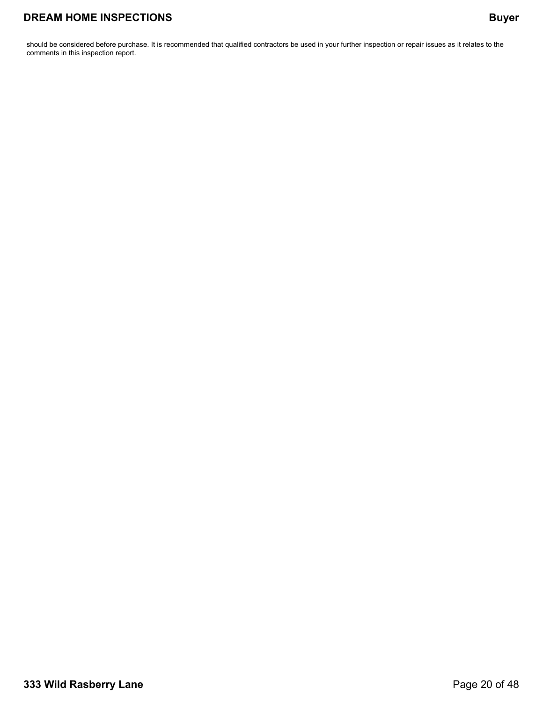should be considered before purchase. It is recommended that qualified contractors be used in your further inspection or repair issues as it relates to the comments in this inspection report.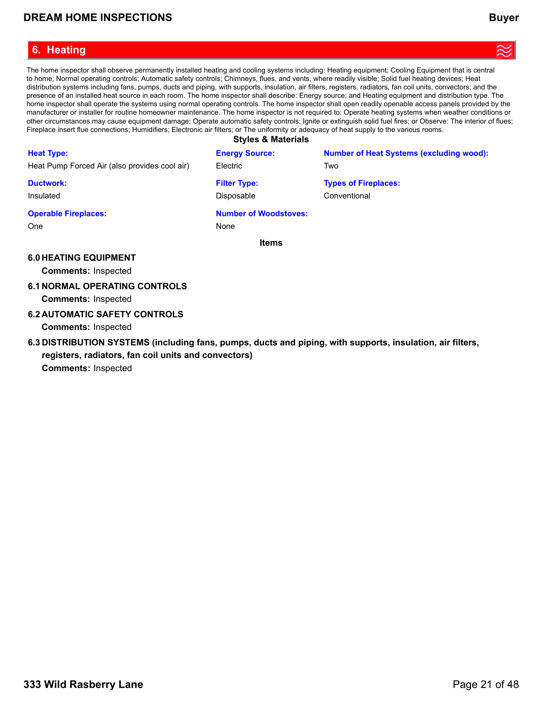### <span id="page-20-0"></span>**6. Heating**

The home inspector shall observe permanently installed heating and cooling systems including: Heating equipment; Cooling Equipment that is central to home; Normal operating controls; Automatic safety controls; Chimneys, flues, and vents, where readily visible; Solid fuel heating devices; Heat distribution systems including fans, pumps, ducts and piping, with supports, insulation, air filters, registers, radiators, fan coil units, convectors; and the presence of an installed heat source in each room. The home inspector shall describe: Energy source; and Heating equipment and distribution type. The home inspector shall operate the systems using normal operating controls. The home inspector shall open readily openable access panels provided by the manufacturer or installer for routine homeowner maintenance. The home inspector is not required to: Operate heating systems when weather conditions or other circumstances may cause equipment damage; Operate automatic safety controls; Ignite or extinguish solid fuel fires; or Observe: The interior of flues; Fireplace insert flue connections; Humidifiers; Electronic air filters; or The uniformity or adequacy of heat supply to the various rooms.

**Styles & Materials**

| <b>Heat Type:</b>                             | <b>Energy Source:</b>                | <b>Number of Heat Systems (excluding wood):</b> |
|-----------------------------------------------|--------------------------------------|-------------------------------------------------|
| Heat Pump Forced Air (also provides cool air) | Electric                             | Two                                             |
| <b>Ductwork:</b>                              | <b>Filter Type:</b>                  | <b>Types of Fireplaces:</b>                     |
| Insulated                                     | Disposable                           | Conventional                                    |
| <b>Operable Fireplaces:</b><br>One            | <b>Number of Woodstoves:</b><br>None |                                                 |

**Items**

#### **6.0 HEATING EQUIPMENT**

**Comments:** Inspected

#### **6.1 NORMAL OPERATING CONTROLS**

**Comments:** Inspected

#### **6.2 AUTOMATIC SAFETY CONTROLS**

**Comments:** Inspected

**6.3 DISTRIBUTION SYSTEMS (including fans, pumps, ducts and piping, with supports, insulation, air filters, registers, radiators, fan coil units and convectors) Comments:** Inspected

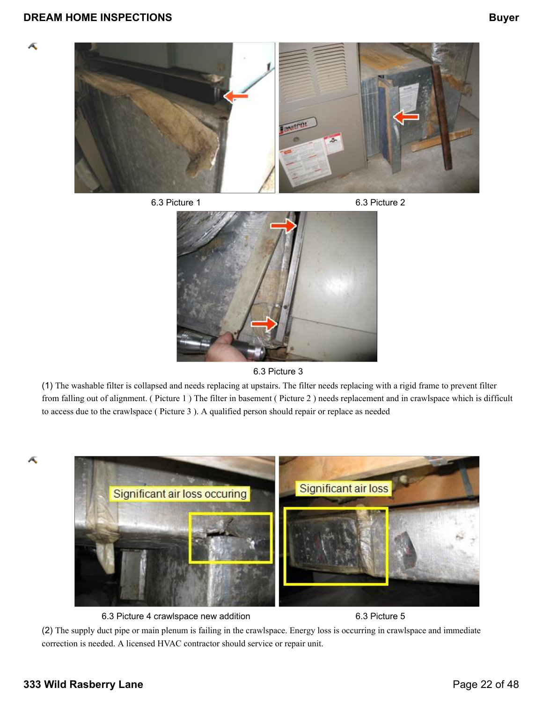Æ









(1) The washable filter is collapsed and needs replacing at upstairs. The filter needs replacing with a rigid frame to prevent filter from falling out of alignment. ( Picture 1 ) The filter in basement ( Picture 2 ) needs replacement and in crawlspace which is difficult to access due to the crawlspace ( Picture 3 ). A qualified person should repair or replace as needed





6.3 Picture 4 crawlspace new addition 6.3 Picture 5

(2) The supply duct pipe or main plenum is failing in the crawlspace. Energy loss is occurring in crawlspace and immediate correction is needed. A licensed HVAC contractor should service or repair unit.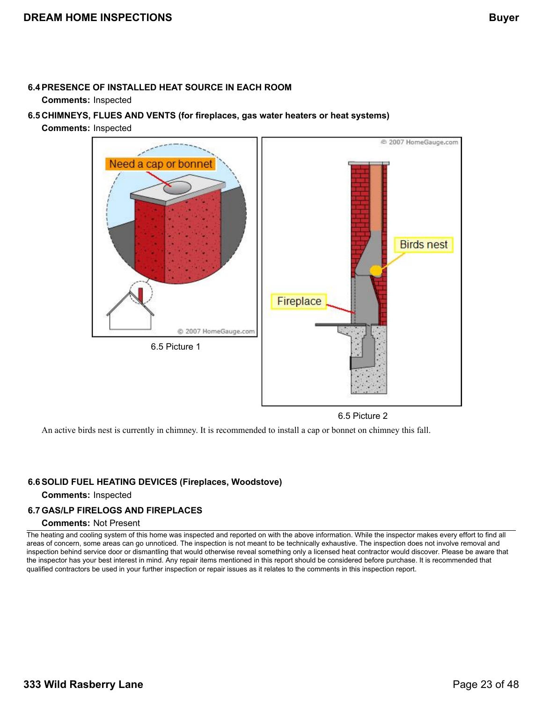#### **6.4PRESENCE OF INSTALLED HEAT SOURCE IN EACH ROOM**

#### **Comments:** Inspected

- **6.5 CHIMNEYS, FLUES AND VENTS (for fireplaces, gas water heaters or heat systems)**
	- **Comments:** Inspected



6.5 Picture 2

An active birds nest is currently in chimney. It is recommended to install a cap or bonnet on chimney this fall.

#### **6.6SOLID FUEL HEATING DEVICES (Fireplaces, Woodstove)**

#### **Comments:** Inspected

#### **6.7GAS/LP FIRELOGS AND FIREPLACES**

#### **Comments:** Not Present

The heating and cooling system of this home was inspected and reported on with the above information. While the inspector makes every effort to find all areas of concern, some areas can go unnoticed. The inspection is not meant to be technically exhaustive. The inspection does not involve removal and inspection behind service door or dismantling that would otherwise reveal something only a licensed heat contractor would discover. Please be aware that the inspector has your best interest in mind. Any repair items mentioned in this report should be considered before purchase. It is recommended that qualified contractors be used in your further inspection or repair issues as it relates to the comments in this inspection report.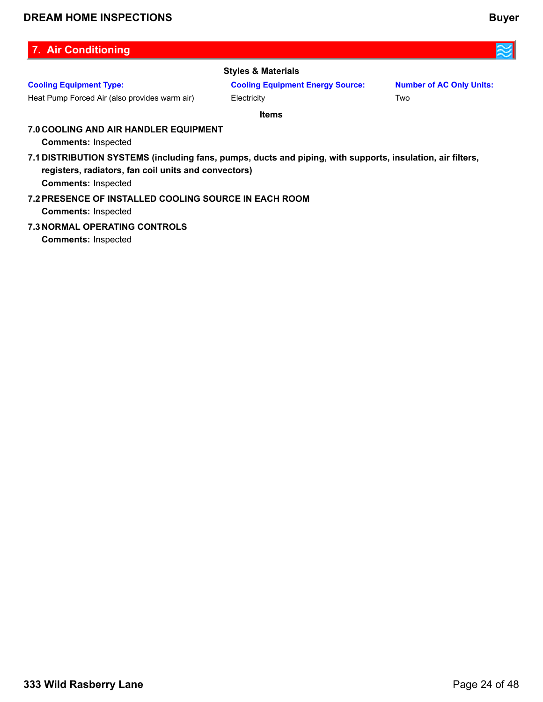### <span id="page-23-0"></span>**7. Air Conditioning**

### **Cooling Equipment Type:**

Heat Pump Forced Air (also provides warm air)

#### **Styles & Materials**

**Cooling Equipment Energy Source: Electricity** 

**Number of AC Only Units:** Two

**Items**

### **7.0 COOLING AND AIR HANDLER EQUIPMENT**

**Comments:** Inspected

**7.1 DISTRIBUTION SYSTEMS (including fans, pumps, ducts and piping, with supports, insulation, air filters, registers, radiators, fan coil units and convectors)**

**Comments:** Inspected

#### **7.2PRESENCE OF INSTALLED COOLING SOURCE IN EACH ROOM Comments:** Inspected

**7.3 NORMAL OPERATING CONTROLS**

**Comments:** Inspected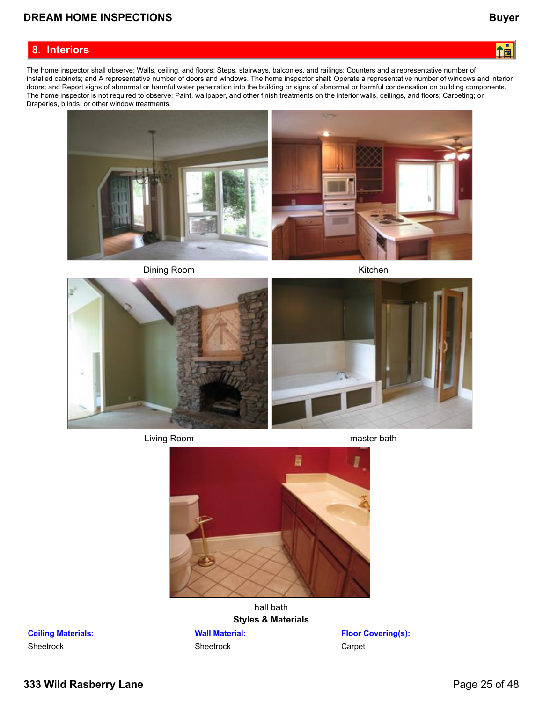#### <span id="page-24-0"></span>**8. Interiors**



The home inspector shall observe: Walls, ceiling, and floors; Steps, stairways, balconies, and railings; Counters and a representative number of installed cabinets; and A representative number of doors and windows. The home inspector shall: Operate a representative number of windows and interior doors; and Report signs of abnormal or harmful water penetration into the building or signs of abnormal or harmful condensation on building components. The home inspector is not required to observe: Paint, wallpaper, and other finish treatments on the interior walls, ceilings, and floors; Carpeting; or Draperies, blinds, or other window treatments.



Dining Room **Kitchen** 



Living Room **master** bath



hall bath **Styles & Materials**

#### **Wall Material:**

Sheetrock

**Floor Covering(s):** Carpet

**Ceiling Materials: Sheetrock**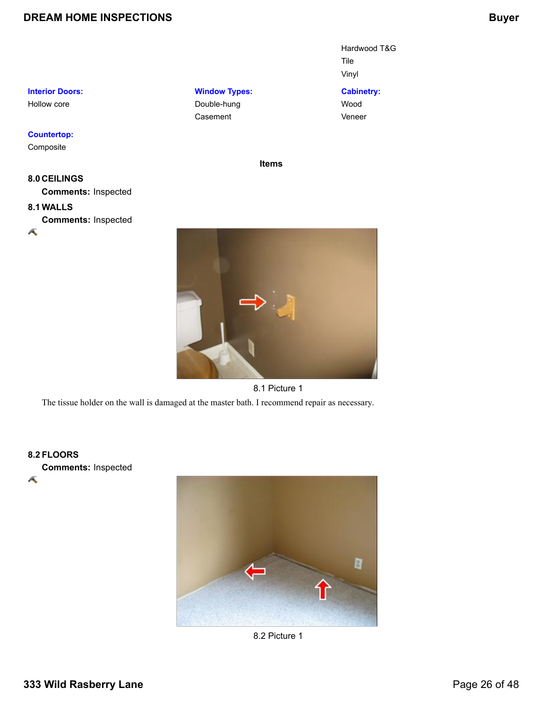Hardwood T&G Tile Vinyl

**Cabinetry:** Wood Veneer

#### **Interior Doors:**

Hollow core

#### **Countertop:**

Composite

### **8.0 CEILINGS Comments:** Inspected

### **8.1 WALLS**

**Comments:** Inspected



**Items**

#### 8.1 Picture 1

The tissue holder on the wall is damaged at the master bath. I recommend repair as necessary.

**Window Types:** Double-hung Casement

#### **8.2 FLOORS**

Æ

**Comments:** Inspected



8.2 Picture 1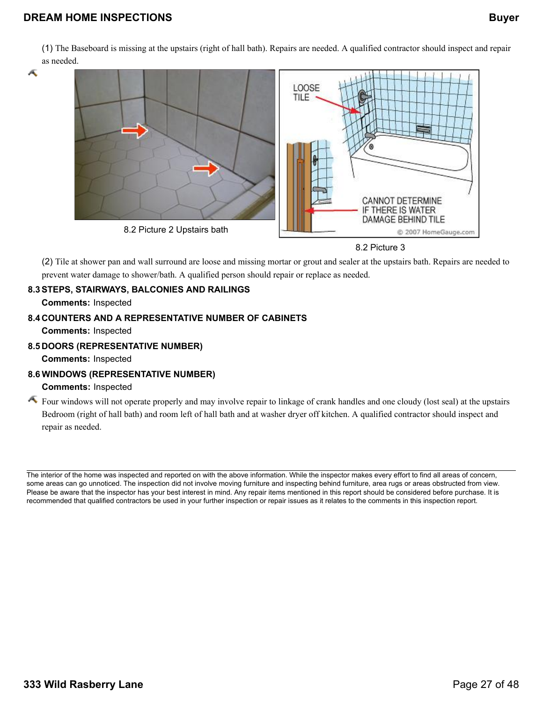(1) The Baseboard is missing at the upstairs (right of hall bath). Repairs are needed. A qualified contractor should inspect and repair as needed.

Æ



8.2 Picture 3

(2) Tile at shower pan and wall surround are loose and missing mortar or grout and sealer at the upstairs bath. Repairs are needed to prevent water damage to shower/bath. A qualified person should repair or replace as needed.

### **8.3STEPS, STAIRWAYS, BALCONIES AND RAILINGS**

**Comments:** Inspected

### **8.4 COUNTERS AND A REPRESENTATIVE NUMBER OF CABINETS**

**Comments:** Inspected

#### **8.5 DOORS (REPRESENTATIVE NUMBER)**

**Comments:** Inspected

### **8.6 WINDOWS (REPRESENTATIVE NUMBER)**

#### **Comments:** Inspected

Four windows will not operate properly and may involve repair to linkage of crank handles and one cloudy (lost seal) at the upstairs Bedroom (right of hall bath) and room left of hall bath and at washer dryer off kitchen. A qualified contractor should inspect and repair as needed.

The interior of the home was inspected and reported on with the above information. While the inspector makes every effort to find all areas of concern, some areas can go unnoticed. The inspection did not involve moving furniture and inspecting behind furniture, area rugs or areas obstructed from view. Please be aware that the inspector has your best interest in mind. Any repair items mentioned in this report should be considered before purchase. It is recommended that qualified contractors be used in your further inspection or repair issues as it relates to the comments in this inspection report.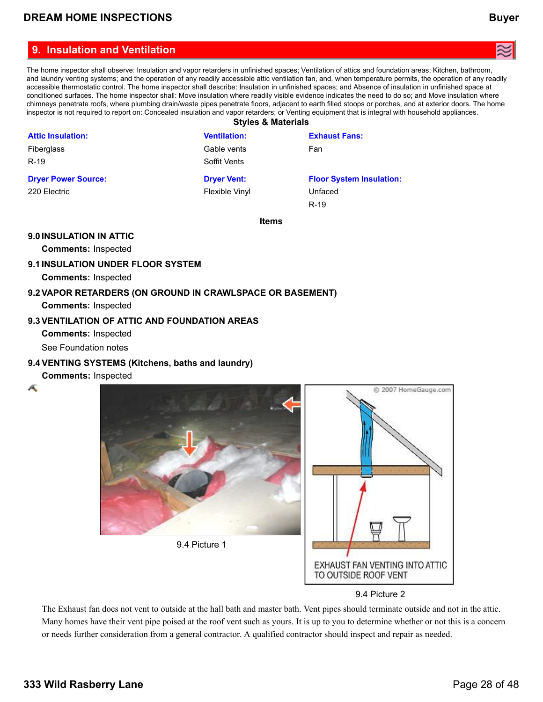<span id="page-27-0"></span>The home inspector shall observe: Insulation and vapor retarders in unfinished spaces; Ventilation of attics and foundation areas; Kitchen, bathroom, and laundry venting systems; and the operation of any readily accessible attic ventilation fan, and, when temperature permits, the operation of any readily accessible thermostatic control. The home inspector shall describe: Insulation in unfinished spaces; and Absence of insulation in unfinished space at conditioned surfaces. The home inspector shall: Move insulation where readily visible evidence indicates the need to do so; and Move insulation where chimneys penetrate roofs, where plumbing drain/waste pipes penetrate floors, adjacent to earth filled stoops or porches, and at exterior doors. The home inspector is not required to report on: Concealed insulation and vapor retarders; or Venting equipment that is integral with household appliances. **Styles & Materials**

|                            | $-0.7.000$ $-0.0000$ |                                 |
|----------------------------|----------------------|---------------------------------|
| <b>Attic Insulation:</b>   | <b>Ventilation:</b>  | <b>Exhaust Fans:</b>            |
| Fiberglass                 | Gable vents          | Fan                             |
| $R-19$                     | Soffit Vents         |                                 |
| <b>Dryer Power Source:</b> | <b>Dryer Vent:</b>   | <b>Floor System Insulation:</b> |
| 220 Electric               | Flexible Vinyl       | Unfaced                         |
|                            |                      | $R-19$                          |
|                            | <b>Items</b>         |                                 |

#### **9.0INSULATION IN ATTIC**

**Comments:** Inspected

#### **9.1INSULATION UNDER FLOOR SYSTEM**

**Comments:** Inspected

# **9.2VAPOR RETARDERS (ON GROUND IN CRAWLSPACE OR BASEMENT)**

**Comments:** Inspected

#### **9.3VENTILATION OF ATTIC AND FOUNDATION AREAS**

**Comments:** Inspected

See Foundation notes

#### **9.4 VENTING SYSTEMS (Kitchens, baths and laundry)**

#### **Comments:** Inspected

Æ



#### 9.4 Picture 2

EXHAUST FAN VENTING INTO ATTIC

TO OUTSIDE ROOF VENT

The Exhaust fan does not vent to outside at the hall bath and master bath. Vent pipes should terminate outside and not in the attic. Many homes have their vent pipe poised at the roof vent such as yours. It is up to you to determine whether or not this is a concern or needs further consideration from a general contractor. A qualified contractor should inspect and repair as needed.

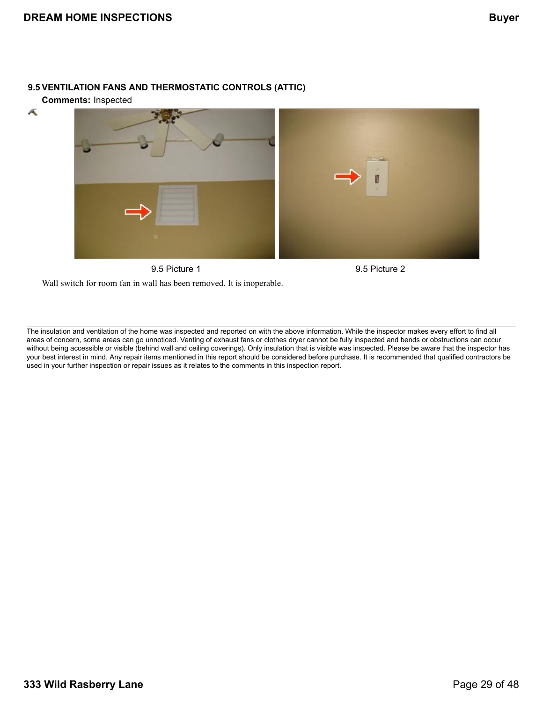#### **9.5 VENTILATION FANS AND THERMOSTATIC CONTROLS (ATTIC)**

**Comments:** Inspected

Æ



Wall switch for room fan in wall has been removed. It is inoperable.

The insulation and ventilation of the home was inspected and reported on with the above information. While the inspector makes every effort to find all areas of concern, some areas can go unnoticed. Venting of exhaust fans or clothes dryer cannot be fully inspected and bends or obstructions can occur without being accessible or visible (behind wall and ceiling coverings). Only insulation that is visible was inspected. Please be aware that the inspector has your best interest in mind. Any repair items mentioned in this report should be considered before purchase. It is recommended that qualified contractors be used in your further inspection or repair issues as it relates to the comments in this inspection report.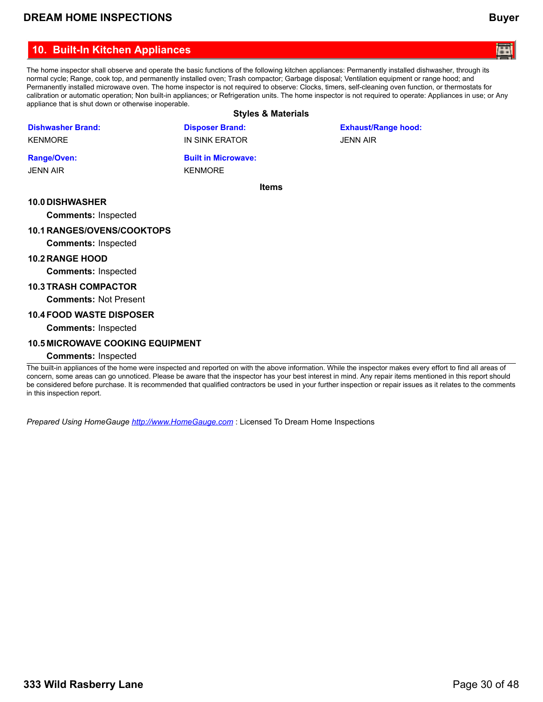### <span id="page-29-0"></span>**10. Built-In Kitchen Appliances**

The home inspector shall observe and operate the basic functions of the following kitchen appliances: Permanently installed dishwasher, through its normal cycle; Range, cook top, and permanently installed oven; Trash compactor; Garbage disposal; Ventilation equipment or range hood; and Permanently installed microwave oven. The home inspector is not required to observe: Clocks, timers, self-cleaning oven function, or thermostats for calibration or automatic operation; Non built-in appliances; or Refrigeration units. The home inspector is not required to operate: Appliances in use; or Any appliance that is shut down or otherwise inoperable.

### **Styles & Materials**

|                                   | Styles & Materials         |                            |
|-----------------------------------|----------------------------|----------------------------|
| <b>Dishwasher Brand:</b>          | <b>Disposer Brand:</b>     | <b>Exhaust/Range hood:</b> |
| <b>KENMORE</b>                    | IN SINK ERATOR             | <b>JENN AIR</b>            |
| <b>Range/Oven:</b>                | <b>Built in Microwave:</b> |                            |
| <b>JENN AIR</b>                   | <b>KENMORE</b>             |                            |
|                                   | <b>Items</b>               |                            |
| <b>10.0 DISHWASHER</b>            |                            |                            |
| <b>Comments: Inspected</b>        |                            |                            |
| <b>10.1 RANGES/OVENS/COOKTOPS</b> |                            |                            |
| <b>Comments: Inspected</b>        |                            |                            |
| <b>10.2 RANGE HOOD</b>            |                            |                            |
| <b>Comments: Inspected</b>        |                            |                            |
| <b>10.3 TRASH COMPACTOR</b>       |                            |                            |
| <b>Comments: Not Present</b>      |                            |                            |

#### **10.4FOOD WASTE DISPOSER**

**Comments:** Inspected

#### **10.5 MICROWAVE COOKING EQUIPMENT**

#### **Comments:** Inspected

The built-in appliances of the home were inspected and reported on with the above information. While the inspector makes every effort to find all areas of concern, some areas can go unnoticed. Please be aware that the inspector has your best interest in mind. Any repair items mentioned in this report should be considered before purchase. It is recommended that qualified contractors be used in your further inspection or repair issues as it relates to the comments in this inspection report.

*Prepared Using HomeGauge <http://www.HomeGauge.com>* : Licensed To Dream Home Inspections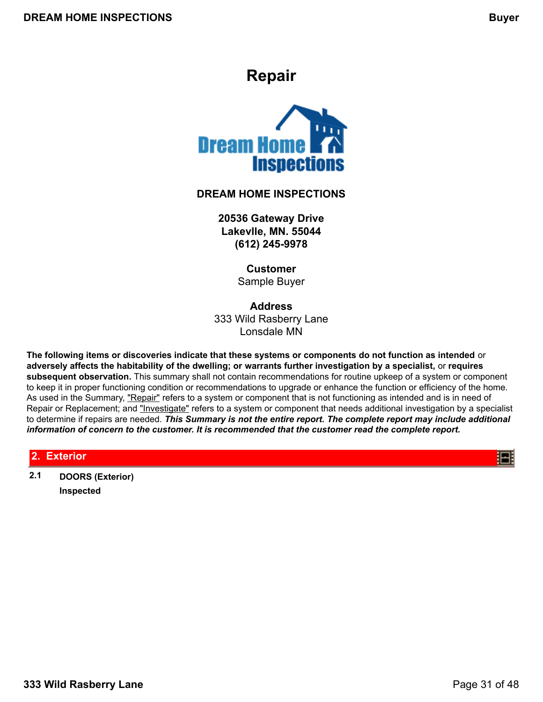# **Repair**

<span id="page-30-0"></span>

### **DREAM HOME INSPECTIONS**

**20536 Gateway Drive Lakevlle, MN. 55044 (612) 245-9978**

> **Customer** Sample Buyer

**Address** 333 Wild Rasberry Lane Lonsdale MN

**The following items or discoveries indicate that these systems or components do not function as intended** or **adversely affects the habitability of the dwelling; or warrants further investigation by a specialist,** or **requires subsequent observation.** This summary shall not contain recommendations for routine upkeep of a system or component to keep it in proper functioning condition or recommendations to upgrade or enhance the function or efficiency of the home. As used in the Summary, "Repair" refers to a system or component that is not functioning as intended and is in need of Repair or Replacement; and "Investigate" refers to a system or component that needs additional investigation by a specialist to determine if repairs are needed. *This Summary is not the entire report. The complete report may include additional information of concern to the customer. It is recommended that the customer read the complete report.*

### **2. Exterior**

**2.1 DOORS (Exterior) Inspected**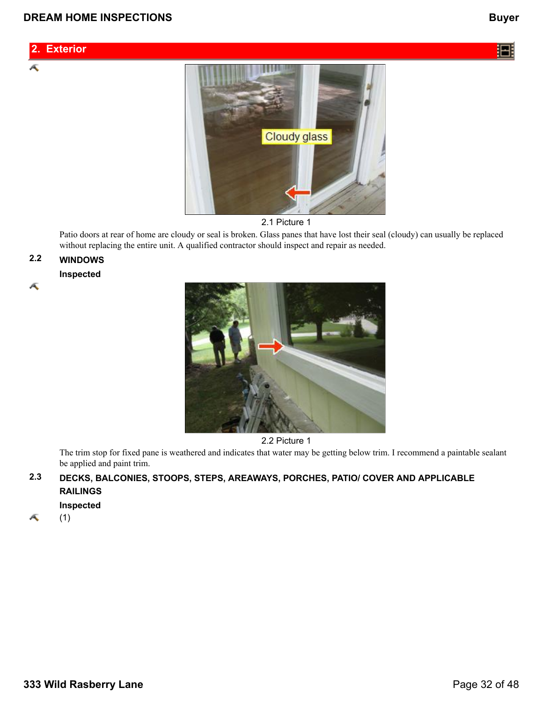### **2. Exterior**

Æ

汨



2.1 Picture 1

Patio doors at rear of home are cloudy or seal is broken. Glass panes that have lost their seal (cloudy) can usually be replaced without replacing the entire unit. A qualified contractor should inspect and repair as needed.

### **2.2 WINDOWS**

#### **Inspected**

Æ



2.2 Picture 1

The trim stop for fixed pane is weathered and indicates that water may be getting below trim. I recommend a paintable sealant be applied and paint trim.

### **2.3 DECKS, BALCONIES, STOOPS, STEPS, AREAWAYS, PORCHES, PATIO/ COVER AND APPLICABLE RAILINGS**

**Inspected**

Æ (1)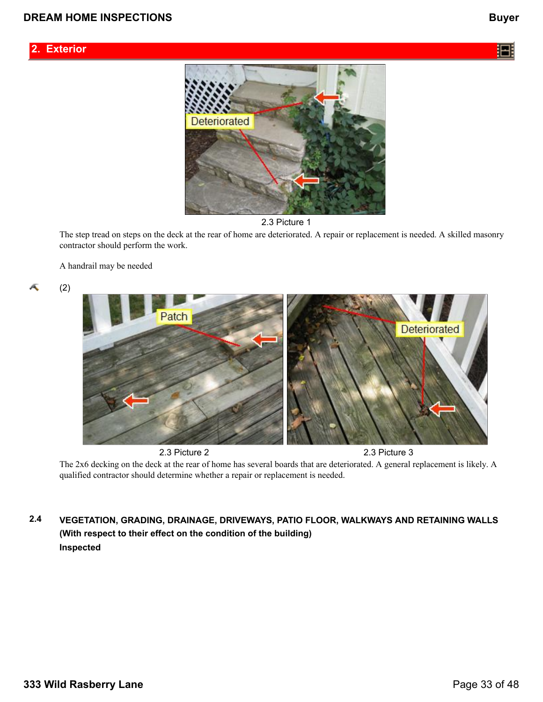### **2. Exterior**







The step tread on steps on the deck at the rear of home are deteriorated. A repair or replacement is needed. A skilled masonry contractor should perform the work.

A handrail may be needed

Æ

(2)



The 2x6 decking on the deck at the rear of home has several boards that are deteriorated. A general replacement is likely. A qualified contractor should determine whether a repair or replacement is needed.

**2.4 VEGETATION, GRADING, DRAINAGE, DRIVEWAYS, PATIO FLOOR, WALKWAYS AND RETAINING WALLS (With respect to their effect on the condition of the building) Inspected**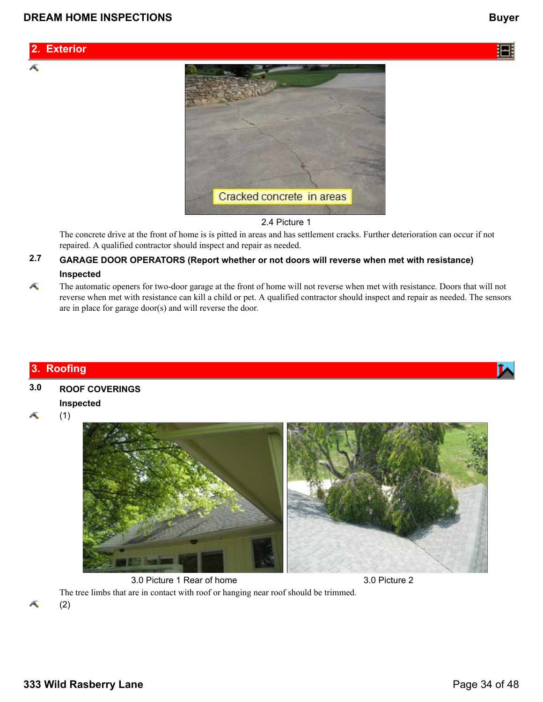### **2. Exterior**

Æ



#### 2.4 Picture 1

The concrete drive at the front of home is is pitted in areas and has settlement cracks. Further deterioration can occur if not repaired. A qualified contractor should inspect and repair as needed.

### **2.7 GARAGE DOOR OPERATORS (Report whether or not doors will reverse when met with resistance) Inspected**

Æ The automatic openers for two-door garage at the front of home will not reverse when met with resistance. Doors that will not reverse when met with resistance can kill a child or pet. A qualified contractor should inspect and repair as needed. The sensors are in place for garage door(s) and will reverse the door.

### **3. Roofing**

# **3.0 ROOF COVERINGS**

### **Inspected**

Æ (1)



3.0 Picture 1 Rear of home 3.0 Picture 2 The tree limbs that are in contact with roof or hanging near roof should be trimmed. (2)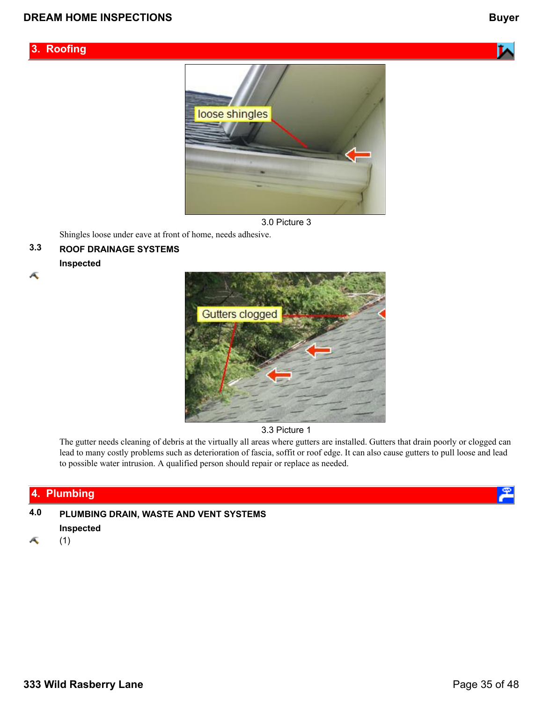## **3. Roofing**







Shingles loose under eave at front of home, needs adhesive.

## **3.3 ROOF DRAINAGE SYSTEMS**

### **Inspected**

Æ



3.3 Picture 1

The gutter needs cleaning of debris at the virtually all areas where gutters are installed. Gutters that drain poorly or clogged can lead to many costly problems such as deterioration of fascia, soffit or roof edge. It can also cause gutters to pull loose and lead to possible water intrusion. A qualified person should repair or replace as needed.

### **4. Plumbing**

**4.0 PLUMBING DRAIN, WASTE AND VENT SYSTEMS Inspected**

Æ (1)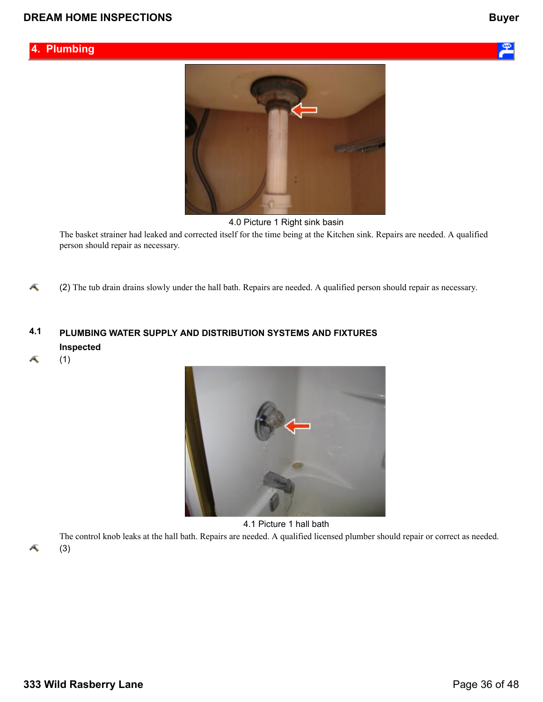



4.0 Picture 1 Right sink basin

The basket strainer had leaked and corrected itself for the time being at the Kitchen sink. Repairs are needed. A qualified person should repair as necessary.

Ā (2) The tub drain drains slowly under the hall bath. Repairs are needed. A qualified person should repair as necessary.

### **4.1 PLUMBING WATER SUPPLY AND DISTRIBUTION SYSTEMS AND FIXTURES Inspected**

Æ (1)



4.1 Picture 1 hall bath

The control knob leaks at the hall bath. Repairs are needed. A qualified licensed plumber should repair or correct as needed.

Æ

(3)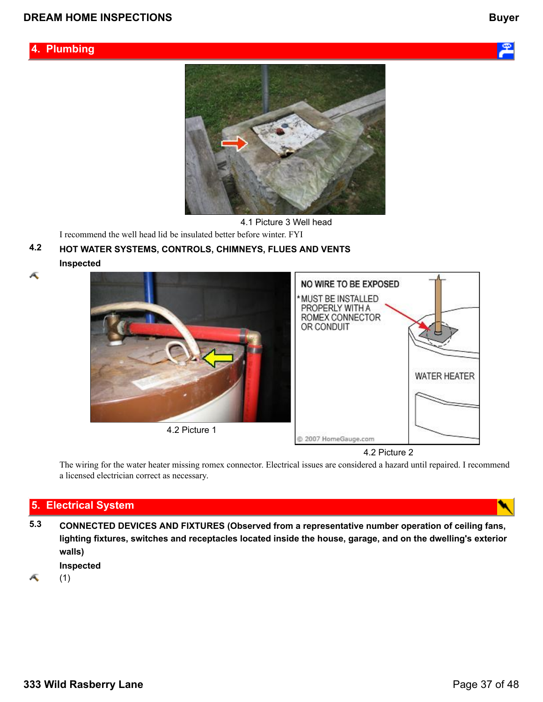



4.1 Picture 3 Well head

I recommend the well head lid be insulated better before winter. FYI

### **4.2 HOT WATER SYSTEMS, CONTROLS, CHIMNEYS, FLUES AND VENTS Inspected**

Æ



4.2 Picture 2

The wiring for the water heater missing romex connector. Electrical issues are considered a hazard until repaired. I recommend a licensed electrician correct as necessary.

### **5. Electrical System**

**5.3 CONNECTED DEVICES AND FIXTURES (Observed from a representative number operation of ceiling fans, lighting fixtures, switches and receptacles located inside the house, garage, and on the dwelling's exterior walls)**

**Inspected**

Æ (1)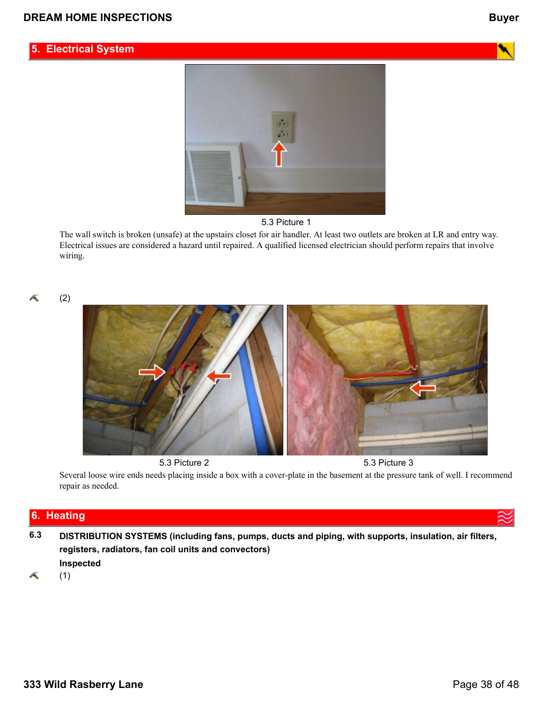### **5. Electrical System**





The wall switch is broken (unsafe) at the upstairs closet for air handler. At least two outlets are broken at LR and entry way. Electrical issues are considered a hazard until repaired. A qualified licensed electrician should perform repairs that involve wiring.

Æ

(2)



5.3 Picture 2 5.3 Picture 3

Several loose wire ends needs placing inside a box with a cover-plate in the basement at the pressure tank of well. I recommend repair as needed.

### **6. Heating**

**6.3 DISTRIBUTION SYSTEMS (including fans, pumps, ducts and piping, with supports, insulation, air filters, registers, radiators, fan coil units and convectors) Inspected**

Æ (1)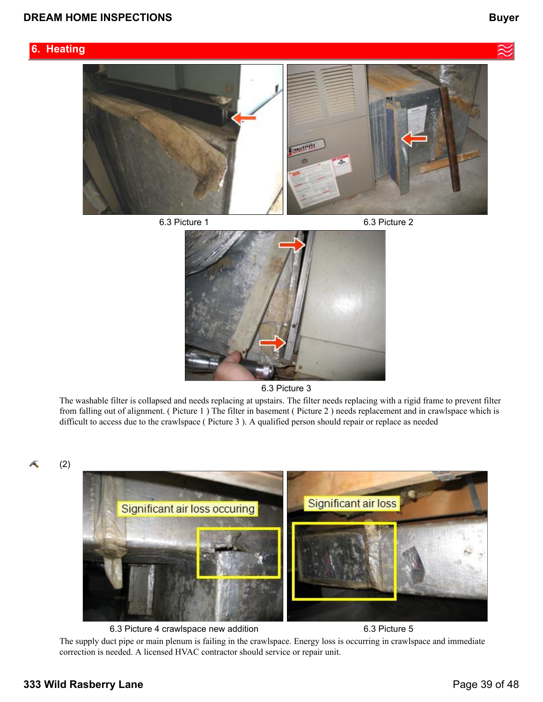### **6. Heating**



6.3 Picture 3

The washable filter is collapsed and needs replacing at upstairs. The filter needs replacing with a rigid frame to prevent filter from falling out of alignment. ( Picture 1 ) The filter in basement ( Picture 2 ) needs replacement and in crawlspace which is difficult to access due to the crawlspace ( Picture 3 ). A qualified person should repair or replace as needed

Æ



The supply duct pipe or main plenum is failing in the crawlspace. Energy loss is occurring in crawlspace and immediate correction is needed. A licensed HVAC contractor should service or repair unit.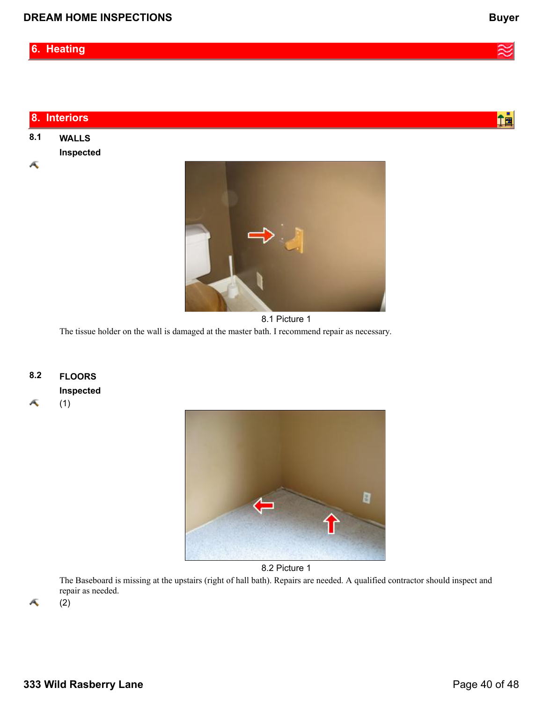|     | 8. Interiors |  |
|-----|--------------|--|
| 8.1 | <b>WALLS</b> |  |
|     | Inspected    |  |
| Ā   |              |  |



8.1 Picture 1 The tissue holder on the wall is damaged at the master bath. I recommend repair as necessary.

**8.2 FLOORS**

**Inspected**

Æ (1)



8.2 Picture 1

The Baseboard is missing at the upstairs (right of hall bath). Repairs are needed. A qualified contractor should inspect and repair as needed. (2)

A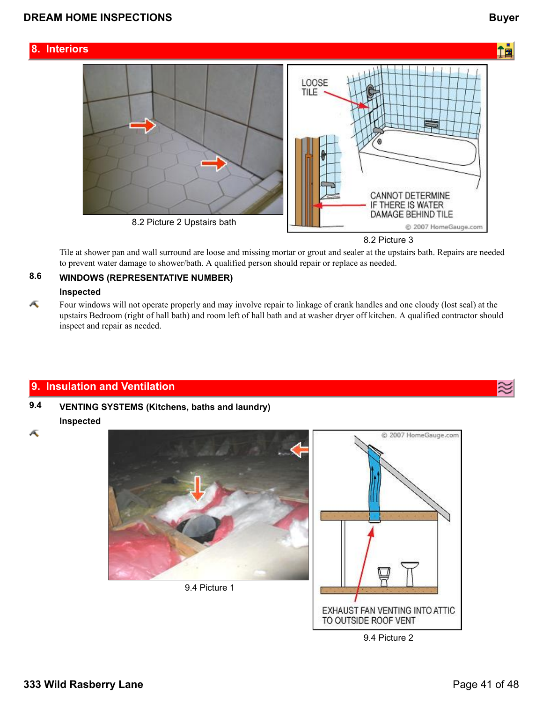一面

### **8. Interiors**



8.2 Picture 3

Tile at shower pan and wall surround are loose and missing mortar or grout and sealer at the upstairs bath. Repairs are needed to prevent water damage to shower/bath. A qualified person should repair or replace as needed.

### **8.6 WINDOWS (REPRESENTATIVE NUMBER)**

#### **Inspected**

Æ Four windows will not operate properly and may involve repair to linkage of crank handles and one cloudy (lost seal) at the upstairs Bedroom (right of hall bath) and room left of hall bath and at washer dryer off kitchen. A qualified contractor should inspect and repair as needed.

### **9. Insulation and Ventilation**

### **9.4 VENTING SYSTEMS (Kitchens, baths and laundry) Inspected**

Æ



9.4 Picture 2

TO OUTSIDE ROOF VENT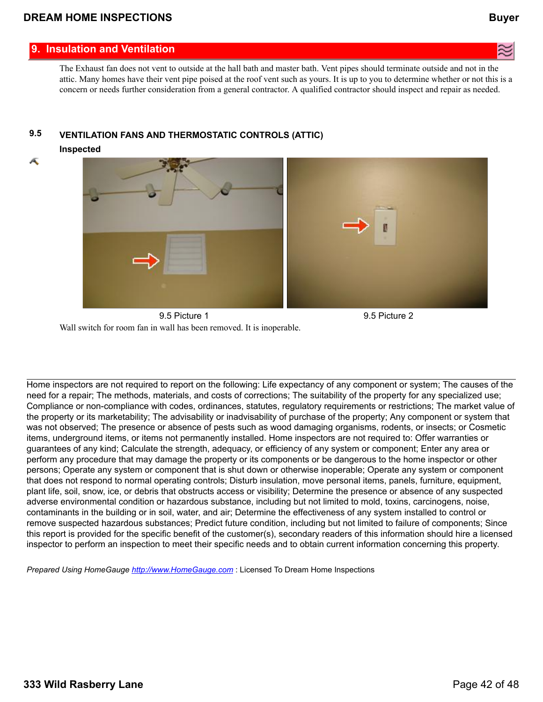### **9. Insulation and Ventilation**

The Exhaust fan does not vent to outside at the hall bath and master bath. Vent pipes should terminate outside and not in the attic. Many homes have their vent pipe poised at the roof vent such as yours. It is up to you to determine whether or not this is a concern or needs further consideration from a general contractor. A qualified contractor should inspect and repair as needed.

### **9.5 VENTILATION FANS AND THERMOSTATIC CONTROLS (ATTIC)**

**Inspected**

Æ



9.5 Picture 1 9.5 Picture 2 Wall switch for room fan in wall has been removed. It is inoperable.

Home inspectors are not required to report on the following: Life expectancy of any component or system; The causes of the need for a repair; The methods, materials, and costs of corrections; The suitability of the property for any specialized use; Compliance or non-compliance with codes, ordinances, statutes, regulatory requirements or restrictions; The market value of the property or its marketability; The advisability or inadvisability of purchase of the property; Any component or system that was not observed; The presence or absence of pests such as wood damaging organisms, rodents, or insects; or Cosmetic items, underground items, or items not permanently installed. Home inspectors are not required to: Offer warranties or guarantees of any kind; Calculate the strength, adequacy, or efficiency of any system or component; Enter any area or perform any procedure that may damage the property or its components or be dangerous to the home inspector or other persons; Operate any system or component that is shut down or otherwise inoperable; Operate any system or component that does not respond to normal operating controls; Disturb insulation, move personal items, panels, furniture, equipment, plant life, soil, snow, ice, or debris that obstructs access or visibility; Determine the presence or absence of any suspected adverse environmental condition or hazardous substance, including but not limited to mold, toxins, carcinogens, noise, contaminants in the building or in soil, water, and air; Determine the effectiveness of any system installed to control or remove suspected hazardous substances; Predict future condition, including but not limited to failure of components; Since this report is provided for the specific benefit of the customer(s), secondary readers of this information should hire a licensed inspector to perform an inspection to meet their specific needs and to obtain current information concerning this property.

*Prepared Using HomeGauge <http://www.HomeGauge.com>* : Licensed To Dream Home Inspections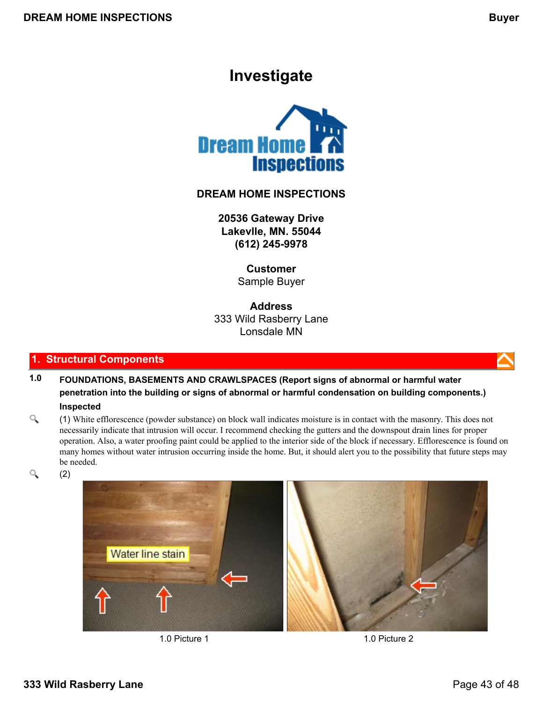# **Investigate**

<span id="page-42-0"></span>

### **DREAM HOME INSPECTIONS**

**20536 Gateway Drive Lakevlle, MN. 55044 (612) 245-9978**

> **Customer** Sample Buyer

**Address** 333 Wild Rasberry Lane Lonsdale MN

### **1. Structural Components**

- **1.0 FOUNDATIONS, BASEMENTS AND CRAWLSPACES (Report signs of abnormal or harmful water penetration into the building or signs of abnormal or harmful condensation on building components.) Inspected**
- Q (1) White efflorescence (powder substance) on block wall indicates moisture is in contact with the masonry. This does not necessarily indicate that intrusion will occur. I recommend checking the gutters and the downspout drain lines for proper operation. Also, a water proofing paint could be applied to the interior side of the block if necessary. Efflorescence is found on many homes without water intrusion occurring inside the home. But, it should alert you to the possibility that future steps may be needed.
- Q (2)





1.0 Picture 1 2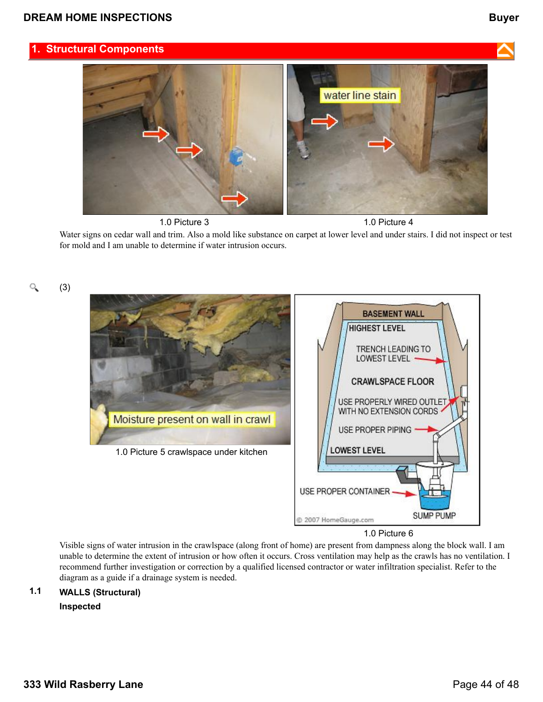





1.0 Picture 6

Visible signs of water intrusion in the crawlspace (along front of home) are present from dampness along the block wall. I am unable to determine the extent of intrusion or how often it occurs. Cross ventilation may help as the crawls has no ventilation. I recommend further investigation or correction by a qualified licensed contractor or water infiltration specialist. Refer to the diagram as a guide if a drainage system is needed.

# **1.1 WALLS (Structural)**

**Inspected**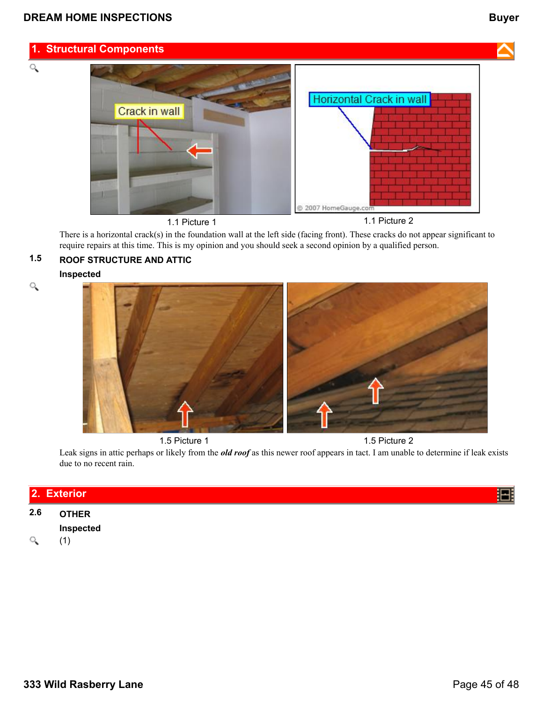Q



1.1 Picture 1 1.1 Picture 2

There is a horizontal crack(s) in the foundation wall at the left side (facing front). These cracks do not appear significant to require repairs at this time. This is my opinion and you should seek a second opinion by a qualified person.

## **1.5 ROOF STRUCTURE AND ATTIC**

**Inspected**



Leak signs in attic perhaps or likely from the *old roof* as this newer roof appears in tact. I am unable to determine if leak exists due to no recent rain.

|          | 2. Exterior  |  |  |  |
|----------|--------------|--|--|--|
| 2.6      | <b>OTHER</b> |  |  |  |
|          | Inspected    |  |  |  |
| $\alpha$ |              |  |  |  |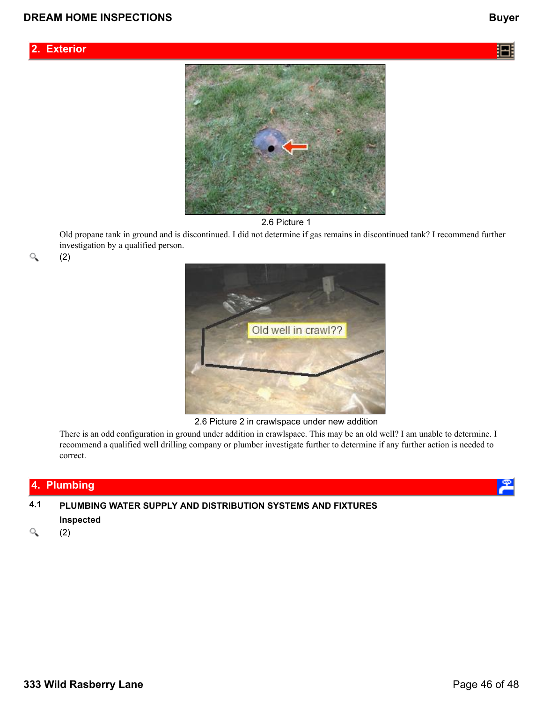





Old propane tank in ground and is discontinued. I did not determine if gas remains in discontinued tank? I recommend further investigation by a qualified person.

Q

(2)



2.6 Picture 2 in crawlspace under new addition

There is an odd configuration in ground under addition in crawlspace. This may be an old well? I am unable to determine. I recommend a qualified well drilling company or plumber investigate further to determine if any further action is needed to correct.

# **4. Plumbing**

**4.1 PLUMBING WATER SUPPLY AND DISTRIBUTION SYSTEMS AND FIXTURES**

### **Inspected**

Q (2)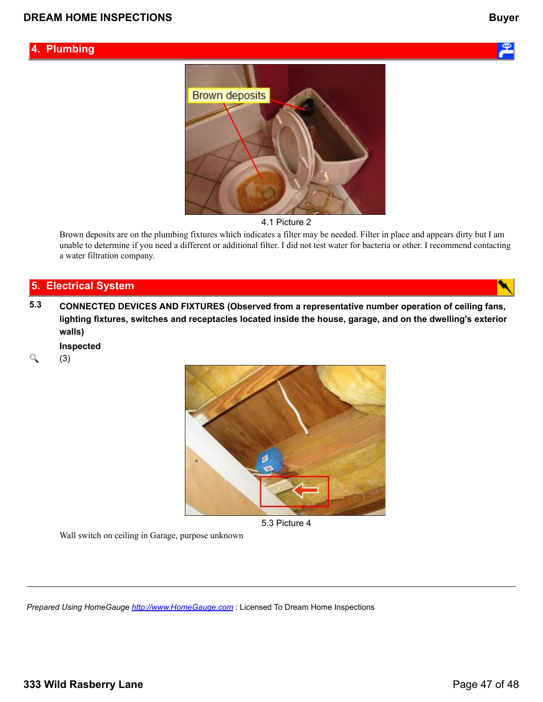### **4. Plumbing**







Brown deposits are on the plumbing fixtures which indicates a filter may be needed. Filter in place and appears dirty but I am unable to determine if you need a different or additional filter. I did not test water for bacteria or other. I recommend contacting a water filtration company.

### **5. Electrical System**

**5.3 CONNECTED DEVICES AND FIXTURES (Observed from a representative number operation of ceiling fans, lighting fixtures, switches and receptacles located inside the house, garage, and on the dwelling's exterior walls)**

**Inspected**

Q (3)



5.3 Picture 4

Wall switch on ceiling in Garage, purpose unknown

*Prepared Using HomeGauge <http://www.HomeGauge.com>* : Licensed To Dream Home Inspections